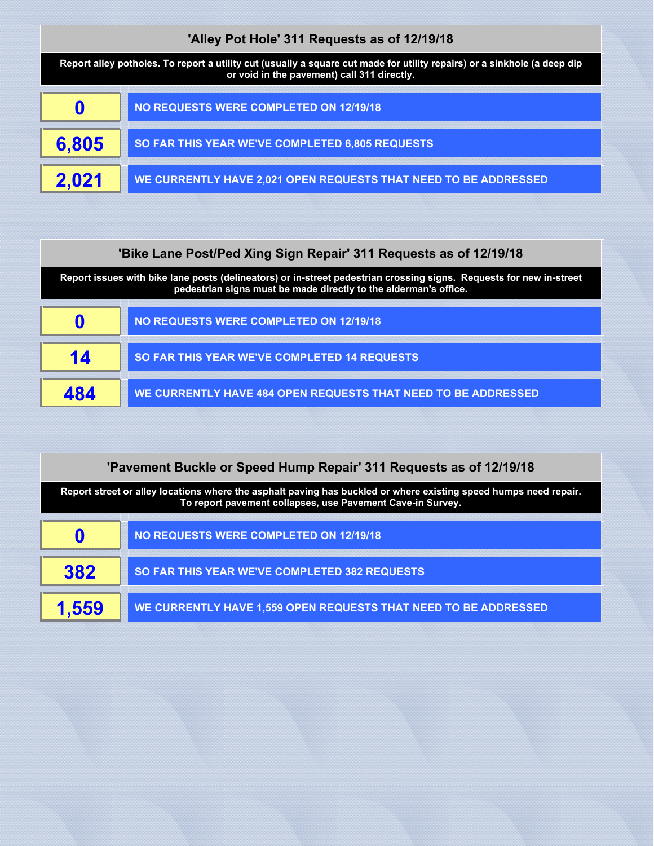| 'Alley Pot Hole' 311 Requests as of 12/19/18                                                                                                                            |                                                                 |  |
|-------------------------------------------------------------------------------------------------------------------------------------------------------------------------|-----------------------------------------------------------------|--|
| Report alley potholes. To report a utility cut (usually a square cut made for utility repairs) or a sinkhole (a deep dip<br>or void in the pavement) call 311 directly. |                                                                 |  |
| 0                                                                                                                                                                       | <b>NO REQUESTS WERE COMPLETED ON 12/19/18</b>                   |  |
| 6,805                                                                                                                                                                   | SO FAR THIS YEAR WE'VE COMPLETED 6,805 REQUESTS                 |  |
| 2.021                                                                                                                                                                   | WE CURRENTLY HAVE 2,021 OPEN REQUESTS THAT NEED TO BE ADDRESSED |  |

## **'Bike Lane Post/Ped Xing Sign Repair' 311 Requests as of 12/19/18**

**Report issues with bike lane posts (delineators) or in-street pedestrian crossing signs. Requests for new in-street pedestrian signs must be made directly to the alderman's office.**

| NO REQUESTS WERE COMPLETED ON 12/19/18                        |
|---------------------------------------------------------------|
| <b>SO FAR THIS YEAR WE'VE COMPLETED 14 REQUESTS</b>           |
| WE CURRENTLY HAVE 484 OPEN REQUESTS THAT NEED TO BE ADDRESSED |

| 'Pavement Buckle or Speed Hump Repair' 311 Requests as of 12/19/18                                                                                                             |                                                                 |
|--------------------------------------------------------------------------------------------------------------------------------------------------------------------------------|-----------------------------------------------------------------|
| Report street or alley locations where the asphalt paving has buckled or where existing speed humps need repair.<br>To report pavement collapses, use Pavement Cave-in Survey. |                                                                 |
|                                                                                                                                                                                | <b>NO REQUESTS WERE COMPLETED ON 12/19/18</b>                   |
| 382                                                                                                                                                                            | SO FAR THIS YEAR WE'VE COMPLETED 382 REQUESTS                   |
|                                                                                                                                                                                | WE CURRENTLY HAVE 1,559 OPEN REQUESTS THAT NEED TO BE ADDRESSED |